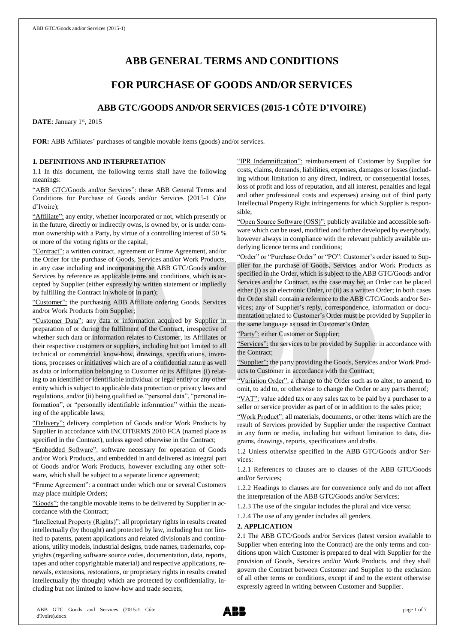# **ABB GENERAL TERMS AND CONDITIONS**

## **FOR PURCHASE OF GOODS AND/OR SERVICES**

## **ABB GTC/GOODS AND/OR SERVICES (2015-1 CÔTE D'IVOIRE)**

DATE: January 1st, 2015

**FOR:** ABB Affiliates' purchases of tangible movable items (goods) and/or services.

## **1. DEFINITIONS AND INTERPRETATION**

1.1 In this document, the following terms shall have the following meanings:

"ABB GTC/Goods and/or Services": these ABB General Terms and Conditions for Purchase of Goods and/or Services (2015-1 Côte d'Ivoire);

"Affiliate": any entity, whether incorporated or not, which presently or in the future, directly or indirectly owns, is owned by, or is under common ownership with a Party, by virtue of a controlling interest of 50 % or more of the voting rights or the capital;

"Contract": a written contract, agreement or Frame Agreement, and/or the Order for the purchase of Goods, Services and/or Work Products, in any case including and incorporating the ABB GTC/Goods and/or Services by reference as applicable terms and conditions, which is accepted by Supplier (either expressly by written statement or impliedly by fulfilling the Contract in whole or in part);

"Customer": the purchasing ABB Affiliate ordering Goods, Services and/or Work Products from Supplier;

"Customer Data": any data or information acquired by Supplier in preparation of or during the fulfilment of the Contract, irrespective of whether such data or information relates to Customer, its Affiliates or their respective customers or suppliers, including but not limited to all technical or commercial know-how, drawings, specifications, inventions, processes or initiatives which are of a confidential nature as well as data or information belonging to Customer or its Affiliates (i) relating to an identified or identifiable individual or legal entity or any other entity which is subject to applicable data protection or privacy laws and regulations, and/or (ii) being qualified as "personal data", "personal information", or "personally identifiable information" within the meaning of the applicable laws;

"Delivery": delivery completion of Goods and/or Work Products by Supplier in accordance with INCOTERMS 2010 FCA (named place as specified in the Contract), unless agreed otherwise in the Contract;

"Embedded Software": software necessary for operation of Goods and/or Work Products, and embedded in and delivered as integral part of Goods and/or Work Products, however excluding any other software, which shall be subject to a separate licence agreement;

"Frame Agreement": a contract under which one or several Customers may place multiple Orders;

"Goods": the tangible movable items to be delivered by Supplier in accordance with the Contract;

"Intellectual Property (Rights)": all proprietary rights in results created intellectually (by thought) and protected by law, including but not limited to patents, patent applications and related divisionals and continuations, utility models, industrial designs, trade names, trademarks, copyrights (regarding software source codes, documentation, data, reports, tapes and other copyrightable material) and respective applications, renewals, extensions, restorations, or proprietary rights in results created intellectually (by thought) which are protected by confidentiality, including but not limited to know-how and trade secrets;

"IPR Indemnification": reimbursement of Customer by Supplier for costs, claims, demands, liabilities, expenses, damages or losses (including without limitation to any direct, indirect, or consequential losses, loss of profit and loss of reputation, and all interest, penalties and legal and other professional costs and expenses) arising out of third party Intellectual Property Right infringements for which Supplier is responsible;

"Open Source Software (OSS)": publicly available and accessible software which can be used, modified and further developed by everybody, however always in compliance with the relevant publicly available underlying licence terms and conditions;

"Order" or "Purchase Order" or "PO": Customer's order issued to Supplier for the purchase of Goods, Services and/or Work Products as specified in the Order, which is subject to the ABB GTC/Goods and/or Services and the Contract, as the case may be; an Order can be placed either (i) as an electronic Order, or (ii) as a written Order; in both cases the Order shall contain a reference to the ABB GTC/Goods and/or Services; any of Supplier's reply, correspondence, information or documentation related to Customer's Order must be provided by Supplier in the same language as used in Customer's Order;

"Party": either Customer or Supplier;

"Services": the services to be provided by Supplier in accordance with the Contract;

"Supplier": the party providing the Goods, Services and/or Work Products to Customer in accordance with the Contract;

"Variation Order": a change to the Order such as to alter, to amend, to omit, to add to, or otherwise to change the Order or any parts thereof;

"VAT": value added tax or any sales tax to be paid by a purchaser to a seller or service provider as part of or in addition to the sales price;

"Work Product": all materials, documents, or other items which are the result of Services provided by Supplier under the respective Contract in any form or media, including but without limitation to data, diagrams, drawings, reports, specifications and drafts.

1.2 Unless otherwise specified in the ABB GTC/Goods and/or Services:

1.2.1 References to clauses are to clauses of the ABB GTC/Goods and/or Services;

1.2.2 Headings to clauses are for convenience only and do not affect the interpretation of the ABB GTC/Goods and/or Services;

1.2.3 The use of the singular includes the plural and vice versa;

1.2.4 The use of any gender includes all genders.

## **2. APPLICATION**

2.1 The ABB GTC/Goods and/or Services (latest version available to Supplier when entering into the Contract) are the only terms and conditions upon which Customer is prepared to deal with Supplier for the provision of Goods, Services and/or Work Products, and they shall govern the Contract between Customer and Supplier to the exclusion of all other terms or conditions, except if and to the extent otherwise expressly agreed in writing between Customer and Supplier.

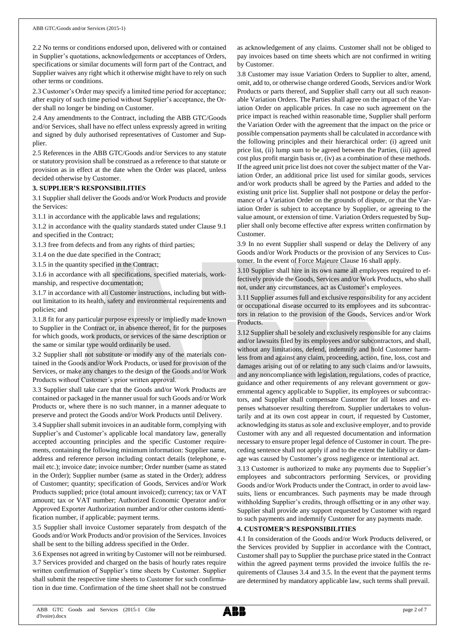2.2 No terms or conditions endorsed upon, delivered with or contained in Supplier's quotations, acknowledgements or acceptances of Orders, specifications or similar documents will form part of the Contract, and Supplier waives any right which it otherwise might have to rely on such other terms or conditions.

2.3 Customer's Order may specify a limited time period for acceptance; after expiry of such time period without Supplier's acceptance, the Order shall no longer be binding on Customer.

2.4 Any amendments to the Contract, including the ABB GTC/Goods and/or Services, shall have no effect unless expressly agreed in writing and signed by duly authorised representatives of Customer and Supplier.

2.5 References in the ABB GTC/Goods and/or Services to any statute or statutory provision shall be construed as a reference to that statute or provision as in effect at the date when the Order was placed, unless decided otherwise by Customer.

### **3. SUPPLIER'S RESPONSIBILITIES**

3.1 Supplier shall deliver the Goods and/or Work Products and provide the Services:

3.1.1 in accordance with the applicable laws and regulations;

3.1.2 in accordance with the quality standards stated under Clause 9.1 and specified in the Contract;

3.1.3 free from defects and from any rights of third parties;

3.1.4 on the due date specified in the Contract;

3.1.5 in the quantity specified in the Contract;

3.1.6 in accordance with all specifications, specified materials, workmanship, and respective documentation;

3.1.7 in accordance with all Customer instructions, including but without limitation to its health, safety and environmental requirements and policies; and

3.1.8 fit for any particular purpose expressly or impliedly made known to Supplier in the Contract or, in absence thereof, fit for the purposes for which goods, work products, or services of the same description or the same or similar type would ordinarily be used.

3.2 Supplier shall not substitute or modify any of the materials contained in the Goods and/or Work Products, or used for provision of the Services, or make any changes to the design of the Goods and/or Work Products without Customer's prior written approval.

3.3 Supplier shall take care that the Goods and/or Work Products are contained or packaged in the manner usual for such Goods and/or Work Products or, where there is no such manner, in a manner adequate to preserve and protect the Goods and/or Work Products until Delivery.

3.4 Supplier shall submit invoices in an auditable form, complying with Supplier's and Customer's applicable local mandatory law, generally accepted accounting principles and the specific Customer requirements, containing the following minimum information: Supplier name, address and reference person including contact details (telephone, email etc.); invoice date; invoice number; Order number (same as stated in the Order); Supplier number (same as stated in the Order); address of Customer; quantity; specification of Goods, Services and/or Work Products supplied; price (total amount invoiced); currency; tax or VAT amount; tax or VAT number; Authorized Economic Operator and/or Approved Exporter Authorization number and/or other customs identification number, if applicable; payment terms.

3.5 Supplier shall invoice Customer separately from despatch of the Goods and/or Work Products and/or provision of the Services. Invoices shall be sent to the billing address specified in the Order.

3.6 Expenses not agreed in writing by Customer will not be reimbursed. 3.7 Services provided and charged on the basis of hourly rates require written confirmation of Supplier's time sheets by Customer. Supplier shall submit the respective time sheets to Customer for such confirmation in due time. Confirmation of the time sheet shall not be construed

as acknowledgement of any claims. Customer shall not be obliged to pay invoices based on time sheets which are not confirmed in writing by Customer.

3.8 Customer may issue Variation Orders to Supplier to alter, amend, omit, add to, or otherwise change ordered Goods, Services and/or Work Products or parts thereof, and Supplier shall carry out all such reasonable Variation Orders. The Parties shall agree on the impact of the Variation Order on applicable prices. In case no such agreement on the price impact is reached within reasonable time, Supplier shall perform the Variation Order with the agreement that the impact on the price or possible compensation payments shall be calculated in accordance with the following principles and their hierarchical order: (i) agreed unit price list, (ii) lump sum to be agreed between the Parties, (iii) agreed cost plus profit margin basis or, (iv) as a combination of these methods. If the agreed unit price list does not cover the subject matter of the Variation Order, an additional price list used for similar goods, services and/or work products shall be agreed by the Parties and added to the existing unit price list. Supplier shall not postpone or delay the performance of a Variation Order on the grounds of dispute, or that the Variation Order is subject to acceptance by Supplier, or agreeing to the value amount, or extension of time. Variation Orders requested by Supplier shall only become effective after express written confirmation by Customer.

3.9 In no event Supplier shall suspend or delay the Delivery of any Goods and/or Work Products or the provision of any Services to Customer. In the event of Force Majeure Clause 16 shall apply.

3.10 Supplier shall hire in its own name all employees required to effectively provide the Goods, Services and/or Work Products, who shall not, under any circumstances, act as Customer's employees.

3.11 Supplier assumes full and exclusive responsibility for any accident or occupational disease occurred to its employees and its subcontractors in relation to the provision of the Goods, Services and/or Work Products.

3.12 Supplier shall be solely and exclusively responsible for any claims and/or lawsuits filed by its employees and/or subcontractors, and shall, without any limitations, defend, indemnify and hold Customer harmless from and against any claim, proceeding, action, fine, loss, cost and damages arising out of or relating to any such claims and/or lawsuits, and any noncompliance with legislation, regulations, codes of practice, guidance and other requirements of any relevant government or governmental agency applicable to Supplier, its employees or subcontractors, and Supplier shall compensate Customer for all losses and expenses whatsoever resulting therefrom. Supplier undertakes to voluntarily and at its own cost appear in court, if requested by Customer, acknowledging its status as sole and exclusive employer, and to provide Customer with any and all requested documentation and information necessary to ensure proper legal defence of Customer in court. The preceding sentence shall not apply if and to the extent the liability or damage was caused by Customer's gross negligence or intentional act.

3.13 Customer is authorized to make any payments due to Supplier's employees and subcontractors performing Services, or providing Goods and/or Work Products under the Contract, in order to avoid lawsuits, liens or encumbrances. Such payments may be made through withholding Supplier's credits, through offsetting or in any other way. Supplier shall provide any support requested by Customer with regard to such payments and indemnify Customer for any payments made.

## **4. CUSTOMER'S RESPONSIBILITIES**

4.1 In consideration of the Goods and/or Work Products delivered, or the Services provided by Supplier in accordance with the Contract, Customer shall pay to Supplier the purchase price stated in the Contract within the agreed payment terms provided the invoice fulfils the requirements of Clauses 3.4 and 3.5. In the event that the payment terms are determined by mandatory applicable law, such terms shall prevail.

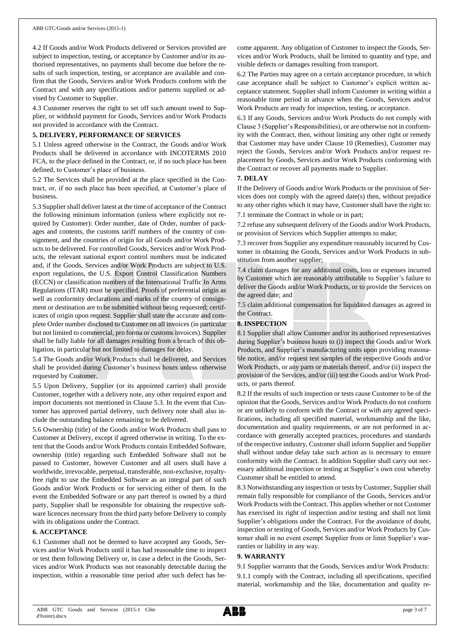4.2 If Goods and/or Work Products delivered or Services provided are subject to inspection, testing, or acceptance by Customer and/or its authorised representatives, no payments shall become due before the results of such inspection, testing, or acceptance are available and confirm that the Goods, Services and/or Work Products conform with the Contract and with any specifications and/or patterns supplied or advised by Customer to Supplier.

4.3 Customer reserves the right to set off such amount owed to Supplier, or withhold payment for Goods, Services and/or Work Products not provided in accordance with the Contract.

### **5. DELIVERY, PERFORMANCE OF SERVICES**

5.1 Unless agreed otherwise in the Contract, the Goods and/or Work Products shall be delivered in accordance with INCOTERMS 2010 FCA, to the place defined in the Contract, or, if no such place has been defined, to Customer's place of business.

5.2 The Services shall be provided at the place specified in the Contract, or, if no such place has been specified, at Customer's place of business.

5.3 Supplier shall deliver latest at the time of acceptance of the Contract the following minimum information (unless where explicitly not required by Customer): Order number, date of Order, number of packages and contents, the customs tariff numbers of the country of consignment, and the countries of origin for all Goods and/or Work Products to be delivered. For controlled Goods, Services and/or Work Products, the relevant national export control numbers must be indicated and, if the Goods, Services and/or Work Products are subject to U.S. export regulations, the U.S. Export Control Classification Numbers (ECCN) or classification numbers of the International Traffic In Arms Regulations (ITAR) must be specified. Proofs of preferential origin as well as conformity declarations and marks of the country of consignment or destination are to be submitted without being requested; certificates of origin upon request. Supplier shall state the accurate and complete Order number disclosed to Customer on all invoices (in particular but not limited to commercial, pro forma or customs invoices). Supplier shall be fully liable for all damages resulting from a breach of this obligation, in particular but not limited to damages for delay.

5.4 The Goods and/or Work Products shall be delivered, and Services shall be provided during Customer's business hours unless otherwise requested by Customer.

5.5 Upon Delivery, Supplier (or its appointed carrier) shall provide Customer, together with a delivery note, any other required export and import documents not mentioned in Clause 5.3. In the event that Customer has approved partial delivery, such delivery note shall also include the outstanding balance remaining to be delivered.

5.6 Ownership (title) of the Goods and/or Work Products shall pass to Customer at Delivery, except if agreed otherwise in writing. To the extent that the Goods and/or Work Products contain Embedded Software, ownership (title) regarding such Embedded Software shall not be passed to Customer, however Customer and all users shall have a worldwide, irrevocable, perpetual, transferable, non-exclusive, royaltyfree right to use the Embedded Software as an integral part of such Goods and/or Work Products or for servicing either of them. In the event the Embedded Software or any part thereof is owned by a third party, Supplier shall be responsible for obtaining the respective software licences necessary from the third party before Delivery to comply with its obligations under the Contract.

### **6. ACCEPTANCE**

6.1 Customer shall not be deemed to have accepted any Goods, Services and/or Work Products until it has had reasonable time to inspect or test them following Delivery or, in case a defect in the Goods, Services and/or Work Products was not reasonably detectable during the inspection, within a reasonable time period after such defect has become apparent. Any obligation of Customer to inspect the Goods, Services and/or Work Products, shall be limited to quantity and type, and visible defects or damages resulting from transport.

6.2 The Parties may agree on a certain acceptance procedure, in which case acceptance shall be subject to Customer's explicit written acceptance statement. Supplier shall inform Customer in writing within a reasonable time period in advance when the Goods, Services and/or Work Products are ready for inspection, testing, or acceptance.

6.3 If any Goods, Services and/or Work Products do not comply with Clause 3 (Supplier's Responsibilities), or are otherwise not in conformity with the Contract, then, without limiting any other right or remedy that Customer may have under Clause 10 (Remedies), Customer may reject the Goods, Services and/or Work Products and/or request replacement by Goods, Services and/or Work Products conforming with the Contract or recover all payments made to Supplier.

## **7. DELAY**

If the Delivery of Goods and/or Work Products or the provision of Services does not comply with the agreed date(s) then, without prejudice to any other rights which it may have, Customer shall have the right to: 7.1 terminate the Contract in whole or in part;

7.2 refuse any subsequent delivery of the Goods and/or Work Products, or provision of Services which Supplier attempts to make;

7.3 recover from Supplier any expenditure reasonably incurred by Customer in obtaining the Goods, Services and/or Work Products in substitution from another supplier;

7.4 claim damages for any additional costs, loss or expenses incurred by Customer which are reasonably attributable to Supplier's failure to deliver the Goods and/or Work Products, or to provide the Services on the agreed date; and

7.5 claim additional compensation for liquidated damages as agreed in the Contract.

## **8. INSPECTION**

8.1 Supplier shall allow Customer and/or its authorised representatives during Supplier's business hours to (i) inspect the Goods and/or Work Products, and Supplier's manufacturing units upon providing reasonable notice, and/or request test samples of the respective Goods and/or Work Products, or any parts or materials thereof, and/or (ii) inspect the provision of the Services, and/or (iii) test the Goods and/or Work Products, or parts thereof.

8.2 If the results of such inspection or tests cause Customer to be of the opinion that the Goods, Services and/or Work Products do not conform or are unlikely to conform with the Contract or with any agreed specifications, including all specified material, workmanship and the like, documentation and quality requirements, or are not performed in accordance with generally accepted practices, procedures and standards of the respective industry, Customer shall inform Supplier and Supplier shall without undue delay take such action as is necessary to ensure conformity with the Contract. In addition Supplier shall carry out necessary additional inspection or testing at Supplier's own cost whereby Customer shall be entitled to attend.

8.3 Notwithstanding any inspection or tests by Customer, Supplier shall remain fully responsible for compliance of the Goods, Services and/or Work Products with the Contract. This applies whether or not Customer has exercised its right of inspection and/or testing and shall not limit Supplier's obligations under the Contract. For the avoidance of doubt, inspection or testing of Goods, Services and/or Work Products by Customer shall in no event exempt Supplier from or limit Supplier's warranties or liability in any way.

### **9. WARRANTY**

9.1 Supplier warrants that the Goods, Services and/or Work Products: 9.1.1 comply with the Contract, including all specifications, specified material, workmanship and the like, documentation and quality re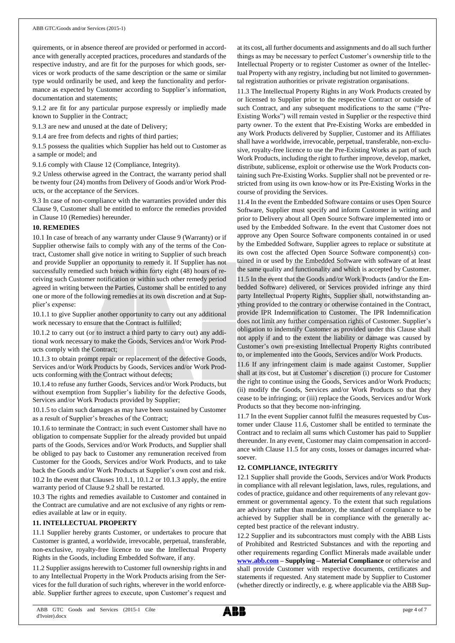quirements, or in absence thereof are provided or performed in accordance with generally accepted practices, procedures and standards of the respective industry, and are fit for the purposes for which goods, services or work products of the same description or the same or similar type would ordinarily be used, and keep the functionality and performance as expected by Customer according to Supplier's information, documentation and statements;

9.1.2 are fit for any particular purpose expressly or impliedly made known to Supplier in the Contract;

9.1.3 are new and unused at the date of Delivery;

9.1.4 are free from defects and rights of third parties;

9.1.5 possess the qualities which Supplier has held out to Customer as a sample or model; and

9.1.6 comply with Clause 12 (Compliance, Integrity).

9.2 Unless otherwise agreed in the Contract, the warranty period shall be twenty four (24) months from Delivery of Goods and/or Work Products, or the acceptance of the Services.

9.3 In case of non-compliance with the warranties provided under this Clause 9, Customer shall be entitled to enforce the remedies provided in Clause 10 (Remedies) hereunder.

### **10. REMEDIES**

10.1 In case of breach of any warranty under Clause 9 (Warranty) or if Supplier otherwise fails to comply with any of the terms of the Contract, Customer shall give notice in writing to Supplier of such breach and provide Supplier an opportunity to remedy it. If Supplier has not successfully remedied such breach within forty eight (48) hours of receiving such Customer notification or within such other remedy period agreed in writing between the Parties, Customer shall be entitled to any one or more of the following remedies at its own discretion and at Supplier's expense:

10.1.1 to give Supplier another opportunity to carry out any additional work necessary to ensure that the Contract is fulfilled;

10.1.2 to carry out (or to instruct a third party to carry out) any additional work necessary to make the Goods, Services and/or Work Products comply with the Contract;

10.1.3 to obtain prompt repair or replacement of the defective Goods, Services and/or Work Products by Goods, Services and/or Work Products conforming with the Contract without defects;

10.1.4 to refuse any further Goods, Services and/or Work Products, but without exemption from Supplier's liability for the defective Goods, Services and/or Work Products provided by Supplier;

10.1.5 to claim such damages as may have been sustained by Customer as a result of Supplier's breaches of the Contract;

10.1.6 to terminate the Contract; in such event Customer shall have no obligation to compensate Supplier for the already provided but unpaid parts of the Goods, Services and/or Work Products, and Supplier shall be obliged to pay back to Customer any remuneration received from Customer for the Goods, Services and/or Work Products, and to take back the Goods and/or Work Products at Supplier's own cost and risk. 10.2 In the event that Clauses 10.1.1, 10.1.2 or 10.1.3 apply, the entire warranty period of Clause 9.2 shall be restarted.

10.3 The rights and remedies available to Customer and contained in the Contract are cumulative and are not exclusive of any rights or remedies available at law or in equity.

## **11. INTELLECTUAL PROPERTY**

11.1 Supplier hereby grants Customer, or undertakes to procure that Customer is granted, a worldwide, irrevocable, perpetual, transferable, non-exclusive, royalty-free licence to use the Intellectual Property Rights in the Goods, including Embedded Software, if any.

11.2 Supplier assigns herewith to Customer full ownership rights in and to any Intellectual Property in the Work Products arising from the Services for the full duration of such rights, wherever in the world enforceable. Supplier further agrees to execute, upon Customer's request and

at its cost, all further documents and assignments and do all such further things as may be necessary to perfect Customer's ownership title to the Intellectual Property or to register Customer as owner of the Intellectual Property with any registry, including but not limited to governmental registration authorities or private registration organisations.

11.3 The Intellectual Property Rights in any Work Products created by or licensed to Supplier prior to the respective Contract or outside of such Contract, and any subsequent modifications to the same ("Pre-Existing Works") will remain vested in Supplier or the respective third party owner. To the extent that Pre-Existing Works are embedded in any Work Products delivered by Supplier, Customer and its Affiliates shall have a worldwide, irrevocable, perpetual, transferable, non-exclusive, royalty-free licence to use the Pre-Existing Works as part of such Work Products, including the right to further improve, develop, market, distribute, sublicense, exploit or otherwise use the Work Products containing such Pre-Existing Works. Supplier shall not be prevented or restricted from using its own know-how or its Pre-Existing Works in the course of providing the Services.

11.4 In the event the Embedded Software contains or uses Open Source Software, Supplier must specify and inform Customer in writing and prior to Delivery about all Open Source Software implemented into or used by the Embedded Software. In the event that Customer does not approve any Open Source Software components contained in or used by the Embedded Software, Supplier agrees to replace or substitute at its own cost the affected Open Source Software component(s) contained in or used by the Embedded Software with software of at least the same quality and functionality and which is accepted by Customer.

11.5 In the event that the Goods and/or Work Products (and/or the Embedded Software) delivered, or Services provided infringe any third party Intellectual Property Rights, Supplier shall, notwithstanding anything provided to the contrary or otherwise contained in the Contract, provide IPR Indemnification to Customer. The IPR Indemnification does not limit any further compensation rights of Customer. Supplier's obligation to indemnify Customer as provided under this Clause shall not apply if and to the extent the liability or damage was caused by Customer's own pre-existing Intellectual Property Rights contributed to, or implemented into the Goods, Services and/or Work Products.

11.6 If any infringement claim is made against Customer, Supplier shall at its cost, but at Customer's discretion (i) procure for Customer the right to continue using the Goods, Services and/or Work Products; (ii) modify the Goods, Services and/or Work Products so that they cease to be infringing; or (iii) replace the Goods, Services and/or Work Products so that they become non-infringing.

11.7 In the event Supplier cannot fulfil the measures requested by Customer under Clause 11.6, Customer shall be entitled to terminate the Contract and to reclaim all sums which Customer has paid to Supplier thereunder. In any event, Customer may claim compensation in accordance with Clause 11.5 for any costs, losses or damages incurred whatsoever.

### **12. COMPLIANCE, INTEGRITY**

12.1 Supplier shall provide the Goods, Services and/or Work Products in compliance with all relevant legislation, laws, rules, regulations, and codes of practice, guidance and other requirements of any relevant government or governmental agency. To the extent that such regulations are advisory rather than mandatory, the standard of compliance to be achieved by Supplier shall be in compliance with the generally accepted best practice of the relevant industry.

12.2 Supplier and its subcontractors must comply with the ABB Lists of Prohibited and Restricted Substances and with the reporting and other requirements regarding Conflict Minerals made available under **[www.abb.com](http://www.abb.com/) – Supplying – Material Compliance** or otherwise and shall provide Customer with respective documents, certificates and statements if requested. Any statement made by Supplier to Customer (whether directly or indirectly, e. g. where applicable via the ABB Sup-

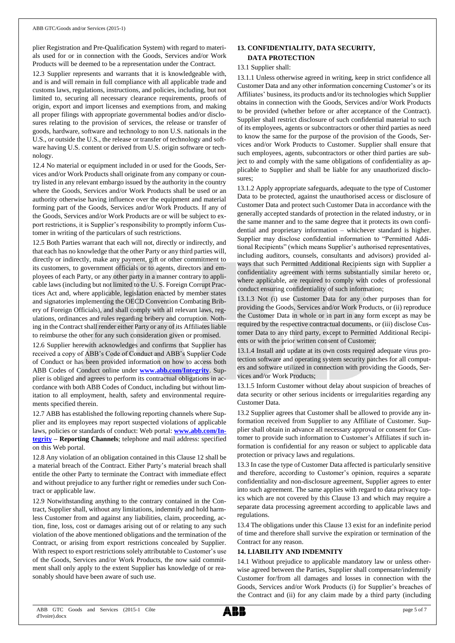plier Registration and Pre-Qualification System) with regard to materials used for or in connection with the Goods, Services and/or Work Products will be deemed to be a representation under the Contract.

12.3 Supplier represents and warrants that it is knowledgeable with, and is and will remain in full compliance with all applicable trade and customs laws, regulations, instructions, and policies, including, but not limited to, securing all necessary clearance requirements, proofs of origin, export and import licenses and exemptions from, and making all proper filings with appropriate governmental bodies and/or disclosures relating to the provision of services, the release or transfer of goods, hardware, software and technology to non U.S. nationals in the U.S., or outside the U.S., the release or transfer of technology and software having U.S. content or derived from U.S. origin software or technology.

12.4 No material or equipment included in or used for the Goods, Services and/or Work Products shall originate from any company or country listed in any relevant embargo issued by the authority in the country where the Goods, Services and/or Work Products shall be used or an authority otherwise having influence over the equipment and material forming part of the Goods, Services and/or Work Products. If any of the Goods, Services and/or Work Products are or will be subject to export restrictions, it is Supplier's responsibility to promptly inform Customer in writing of the particulars of such restrictions.

12.5 Both Parties warrant that each will not, directly or indirectly, and that each has no knowledge that the other Party or any third parties will, directly or indirectly, make any payment, gift or other commitment to its customers, to government officials or to agents, directors and employees of each Party, or any other party in a manner contrary to applicable laws (including but not limited to the U. S. Foreign Corrupt Practices Act and, where applicable, legislation enacted by member states and signatories implementing the OECD Convention Combating Bribery of Foreign Officials), and shall comply with all relevant laws, regulations, ordinances and rules regarding bribery and corruption. Nothing in the Contract shall render either Party or any of its Affiliates liable to reimburse the other for any such consideration given or promised.

12.6 Supplier herewith acknowledges and confirms that Supplier has received a copy of ABB's Code of Conduct and ABB's Supplier Code of Conduct or has been provided information on how to access both ABB Codes of Conduct online under **[www.abb.com/Integrity](http://www.abb.com/Integrity)**. Supplier is obliged and agrees to perform its contractual obligations in accordance with both ABB Codes of Conduct, including but without limitation to all employment, health, safety and environmental requirements specified therein.

12.7 ABB has established the following reporting channels where Supplier and its employees may report suspected violations of applicable laws, policies or standards of conduct: Web portal: **[www.abb.com/In](http://www.abb.com/Integrity)[tegrity](http://www.abb.com/Integrity) – Reporting Channels**; telephone and mail address: specified on this Web portal.

12.8 Any violation of an obligation contained in this Clause 12 shall be a material breach of the Contract. Either Party's material breach shall entitle the other Party to terminate the Contract with immediate effect and without prejudice to any further right or remedies under such Contract or applicable law.

12.9 Notwithstanding anything to the contrary contained in the Contract, Supplier shall, without any limitations, indemnify and hold harmless Customer from and against any liabilities, claim, proceeding, action, fine, loss, cost or damages arising out of or relating to any such violation of the above mentioned obligations and the termination of the Contract, or arising from export restrictions concealed by Supplier. With respect to export restrictions solely attributable to Customer's use of the Goods, Services and/or Work Products, the now said commitment shall only apply to the extent Supplier has knowledge of or reasonably should have been aware of such use.

## **13. CONFIDENTIALITY, DATA SECURITY, DATA PROTECTION**

## 13.1 Supplier shall:

13.1.1 Unless otherwise agreed in writing, keep in strict confidence all Customer Data and any other information concerning Customer's or its Affiliates' business, its products and/or its technologies which Supplier obtains in connection with the Goods, Services and/or Work Products to be provided (whether before or after acceptance of the Contract). Supplier shall restrict disclosure of such confidential material to such of its employees, agents or subcontractors or other third parties as need to know the same for the purpose of the provision of the Goods, Services and/or Work Products to Customer. Supplier shall ensure that such employees, agents, subcontractors or other third parties are subject to and comply with the same obligations of confidentiality as applicable to Supplier and shall be liable for any unauthorized disclosures;

13.1.2 Apply appropriate safeguards, adequate to the type of Customer Data to be protected, against the unauthorised access or disclosure of Customer Data and protect such Customer Data in accordance with the generally accepted standards of protection in the related industry, or in the same manner and to the same degree that it protects its own confidential and proprietary information – whichever standard is higher. Supplier may disclose confidential information to "Permitted Additional Recipients" (which means Supplier's authorised representatives, including auditors, counsels, consultants and advisors) provided always that such Permitted Additional Recipients sign with Supplier a confidentiality agreement with terms substantially similar hereto or, where applicable, are required to comply with codes of professional conduct ensuring confidentiality of such information;

13.1.3 Not (i) use Customer Data for any other purposes than for providing the Goods, Services and/or Work Products, or (ii) reproduce the Customer Data in whole or in part in any form except as may be required by the respective contractual documents, or (iii) disclose Customer Data to any third party, except to Permitted Additional Recipients or with the prior written consent of Customer;

13.1.4 Install and update at its own costs required adequate virus protection software and operating system security patches for all computers and software utilized in connection with providing the Goods, Services and/or Work Products;

13.1.5 Inform Customer without delay about suspicion of breaches of data security or other serious incidents or irregularities regarding any Customer Data.

13.2 Supplier agrees that Customer shall be allowed to provide any information received from Supplier to any Affiliate of Customer. Supplier shall obtain in advance all necessary approval or consent for Customer to provide such information to Customer's Affiliates if such information is confidential for any reason or subject to applicable data protection or privacy laws and regulations.

13.3 In case the type of Customer Data affected is particularly sensitive and therefore, according to Customer's opinion, requires a separate confidentiality and non-disclosure agreement, Supplier agrees to enter into such agreement. The same applies with regard to data privacy topics which are not covered by this Clause 13 and which may require a separate data processing agreement according to applicable laws and regulations.

13.4 The obligations under this Clause 13 exist for an indefinite period of time and therefore shall survive the expiration or termination of the Contract for any reason.

### **14. LIABILITY AND INDEMNITY**

14.1 Without prejudice to applicable mandatory law or unless otherwise agreed between the Parties, Supplier shall compensate/indemnify Customer for/from all damages and losses in connection with the Goods, Services and/or Work Products (i) for Supplier's breaches of the Contract and (ii) for any claim made by a third party (including

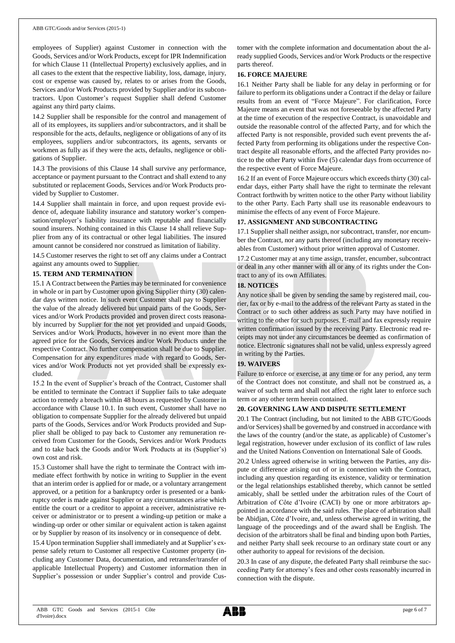employees of Supplier) against Customer in connection with the Goods, Services and/or Work Products, except for IPR Indemnification for which Clause 11 (Intellectual Property) exclusively applies, and in all cases to the extent that the respective liability, loss, damage, injury, cost or expense was caused by, relates to or arises from the Goods, Services and/or Work Products provided by Supplier and/or its subcontractors. Upon Customer's request Supplier shall defend Customer against any third party claims.

14.2 Supplier shall be responsible for the control and management of all of its employees, its suppliers and/or subcontractors, and it shall be responsible for the acts, defaults, negligence or obligations of any of its employees, suppliers and/or subcontractors, its agents, servants or workmen as fully as if they were the acts, defaults, negligence or obligations of Supplier.

14.3 The provisions of this Clause 14 shall survive any performance, acceptance or payment pursuant to the Contract and shall extend to any substituted or replacement Goods, Services and/or Work Products provided by Supplier to Customer.

14.4 Supplier shall maintain in force, and upon request provide evidence of, adequate liability insurance and statutory worker's compensation/employer's liability insurance with reputable and financially sound insurers. Nothing contained in this Clause 14 shall relieve Supplier from any of its contractual or other legal liabilities. The insured amount cannot be considered nor construed as limitation of liability.

14.5 Customer reserves the right to set off any claims under a Contract against any amounts owed to Supplier.

### **15. TERM AND TERMINATION**

15.1 A Contract between the Parties may be terminated for convenience in whole or in part by Customer upon giving Supplier thirty (30) calendar days written notice. In such event Customer shall pay to Supplier the value of the already delivered but unpaid parts of the Goods, Services and/or Work Products provided and proven direct costs reasonably incurred by Supplier for the not yet provided and unpaid Goods, Services and/or Work Products, however in no event more than the agreed price for the Goods, Services and/or Work Products under the respective Contract. No further compensation shall be due to Supplier. Compensation for any expenditures made with regard to Goods, Services and/or Work Products not yet provided shall be expressly excluded.

15.2 In the event of Supplier's breach of the Contract, Customer shall be entitled to terminate the Contract if Supplier fails to take adequate action to remedy a breach within 48 hours as requested by Customer in accordance with Clause 10.1. In such event, Customer shall have no obligation to compensate Supplier for the already delivered but unpaid parts of the Goods, Services and/or Work Products provided and Supplier shall be obliged to pay back to Customer any remuneration received from Customer for the Goods, Services and/or Work Products and to take back the Goods and/or Work Products at its (Supplier's) own cost and risk.

15.3 Customer shall have the right to terminate the Contract with immediate effect forthwith by notice in writing to Supplier in the event that an interim order is applied for or made, or a voluntary arrangement approved, or a petition for a bankruptcy order is presented or a bankruptcy order is made against Supplier or any circumstances arise which entitle the court or a creditor to appoint a receiver, administrative receiver or administrator or to present a winding-up petition or make a winding-up order or other similar or equivalent action is taken against or by Supplier by reason of its insolvency or in consequence of debt.

15.4 Upon termination Supplier shall immediately and at Supplier's expense safely return to Customer all respective Customer property (including any Customer Data, documentation, and retransfer/transfer of applicable Intellectual Property) and Customer information then in Supplier's possession or under Supplier's control and provide Customer with the complete information and documentation about the already supplied Goods, Services and/or Work Products or the respective parts thereof.

## **16. FORCE MAJEURE**

16.1 Neither Party shall be liable for any delay in performing or for failure to perform its obligations under a Contract if the delay or failure results from an event of "Force Majeure". For clarification, Force Majeure means an event that was not foreseeable by the affected Party at the time of execution of the respective Contract, is unavoidable and outside the reasonable control of the affected Party, and for which the affected Party is not responsible, provided such event prevents the affected Party from performing its obligations under the respective Contract despite all reasonable efforts, and the affected Party provides notice to the other Party within five (5) calendar days from occurrence of the respective event of Force Majeure.

16.2 If an event of Force Majeure occurs which exceeds thirty (30) calendar days, either Party shall have the right to terminate the relevant Contract forthwith by written notice to the other Party without liability to the other Party. Each Party shall use its reasonable endeavours to minimise the effects of any event of Force Majeure.

## **17. ASSIGNMENT AND SUBCONTRACTING**

17.1 Supplier shall neither assign, nor subcontract, transfer, nor encumber the Contract, nor any parts thereof (including any monetary receivables from Customer) without prior written approval of Customer.

17.2 Customer may at any time assign, transfer, encumber, subcontract or deal in any other manner with all or any of its rights under the Contract to any of its own Affiliates.

## **18. NOTICES**

Any notice shall be given by sending the same by registered mail, courier, fax or by e-mail to the address of the relevant Party as stated in the Contract or to such other address as such Party may have notified in writing to the other for such purposes. E-mail and fax expressly require written confirmation issued by the receiving Party. Electronic read receipts may not under any circumstances be deemed as confirmation of notice. Electronic signatures shall not be valid, unless expressly agreed in writing by the Parties.

## **19. WAIVERS**

Failure to enforce or exercise, at any time or for any period, any term of the Contract does not constitute, and shall not be construed as, a waiver of such term and shall not affect the right later to enforce such term or any other term herein contained.

### **20. GOVERNING LAW AND DISPUTE SETTLEMENT**

20.1 The Contract (including, but not limited to the ABB GTC/Goods and/or Services) shall be governed by and construed in accordance with the laws of the country (and/or the state, as applicable) of Customer's legal registration, however under exclusion of its conflict of law rules and the United Nations Convention on International Sale of Goods.

20.2 Unless agreed otherwise in writing between the Parties, any dispute or difference arising out of or in connection with the Contract, including any question regarding its existence, validity or termination or the legal relationships established thereby, which cannot be settled amicably, shall be settled under the arbitration rules of the Court of Arbitration of Côte d'Ivoire (CACI) by one or more arbitrators appointed in accordance with the said rules. The place of arbitration shall be Abidjan, Côte d'Ivoire, and, unless otherwise agreed in writing, the language of the proceedings and of the award shall be English. The decision of the arbitrators shall be final and binding upon both Parties, and neither Party shall seek recourse to an ordinary state court or any other authority to appeal for revisions of the decision.

20.3 In case of any dispute, the defeated Party shall reimburse the succeeding Party for attorney's fees and other costs reasonably incurred in connection with the dispute.